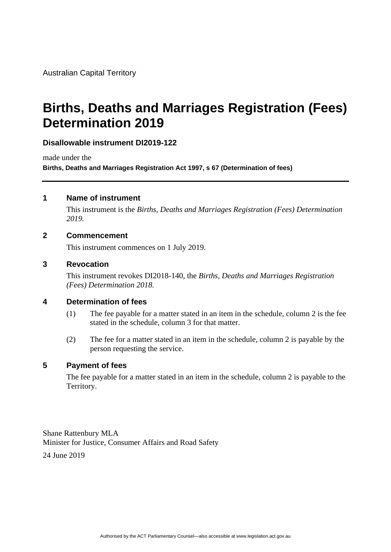Australian Capital Territory

# **Births, Deaths and Marriages Registration (Fees) Determination 2019**

## **Disallowable instrument DI2019-122**

made under the **Births, Deaths and Marriages Registration Act 1997, s 67 (Determination of fees)**

### **1 Name of instrument**

This instrument is the *Births, Deaths and Marriages Registration (Fees) Determination 2019.*

#### **2 Commencement**

This instrument commences on 1 July 2019.

#### **3 Revocation**

This instrument revokes DI2018-140, the *Births, Deaths and Marriages Registration (Fees) Determination 2018.*

#### **4 Determination of fees**

- (1) The fee payable for a matter stated in an item in the schedule, column 2 is the fee stated in the schedule, column 3 for that matter.
- (2) The fee for a matter stated in an item in the schedule, column 2 is payable by the person requesting the service.

#### **5 Payment of fees**

The fee payable for a matter stated in an item in the schedule, column 2 is payable to the Territory.

Shane Rattenbury MLA Minister for Justice, Consumer Affairs and Road Safety

24 June 2019